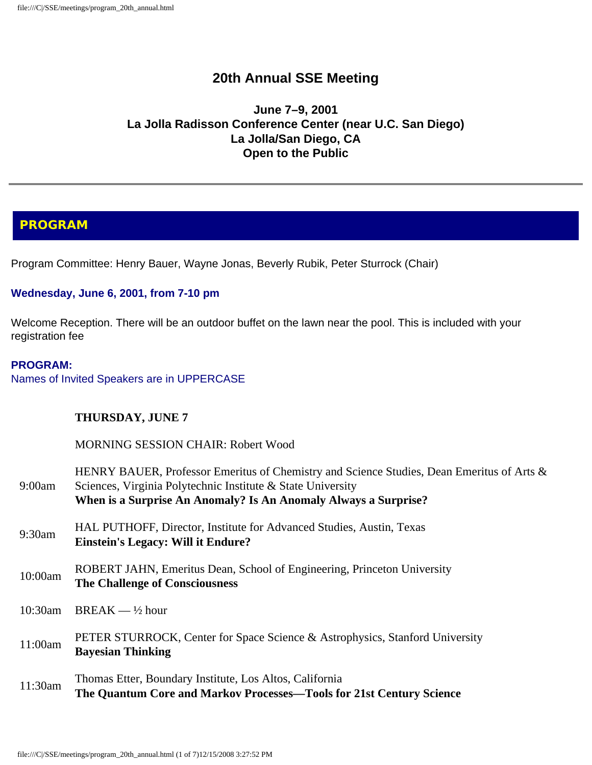# **20th Annual SSE Meeting**

### **June 7–9, 2001 La Jolla Radisson Conference Center (near U.C. San Diego) La Jolla/San Diego, CA Open to the Public**

# **PROGRAM**

Program Committee: Henry Bauer, Wayne Jonas, Beverly Rubik, Peter Sturrock (Chair)

#### **Wednesday, June 6, 2001, from 7-10 pm**

Welcome Reception. There will be an outdoor buffet on the lawn near the pool. This is included with your registration fee

#### **PROGRAM:**

Names of Invited Speakers are in UPPERCASE

#### **THURSDAY, JUNE 7**

MORNING SESSION CHAIR: Robert Wood

| 9:00am     | HENRY BAUER, Professor Emeritus of Chemistry and Science Studies, Dean Emeritus of Arts &<br>Sciences, Virginia Polytechnic Institute & State University<br>When is a Surprise An Anomaly? Is An Anomaly Always a Surprise? |
|------------|-----------------------------------------------------------------------------------------------------------------------------------------------------------------------------------------------------------------------------|
| 9:30am     | HAL PUTHOFF, Director, Institute for Advanced Studies, Austin, Texas<br><b>Einstein's Legacy: Will it Endure?</b>                                                                                                           |
| 10:00am    | ROBERT JAHN, Emeritus Dean, School of Engineering, Princeton University<br><b>The Challenge of Consciousness</b>                                                                                                            |
| $10:30$ am | $BREAK - \frac{1}{2} hour$                                                                                                                                                                                                  |
| 11:00am    | PETER STURROCK, Center for Space Science & Astrophysics, Stanford University<br><b>Bayesian Thinking</b>                                                                                                                    |
| 11:30am    | Thomas Etter, Boundary Institute, Los Altos, California<br>The Quantum Core and Markov Processes—Tools for 21st Century Science                                                                                             |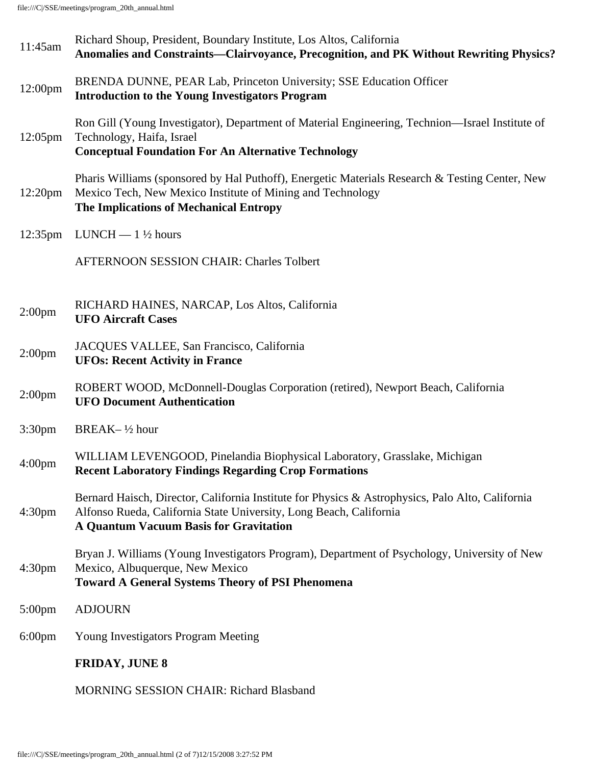file:///C|/SSE/meetings/program\_20th\_annual.html

| 11:45am             | Richard Shoup, President, Boundary Institute, Los Altos, California<br>Anomalies and Constraints-Clairvoyance, Precognition, and PK Without Rewriting Physics?                                                   |
|---------------------|------------------------------------------------------------------------------------------------------------------------------------------------------------------------------------------------------------------|
| 12:00pm             | BRENDA DUNNE, PEAR Lab, Princeton University; SSE Education Officer<br><b>Introduction to the Young Investigators Program</b>                                                                                    |
| $12:05 \text{pm}$   | Ron Gill (Young Investigator), Department of Material Engineering, Technion—Israel Institute of<br>Technology, Haifa, Israel<br><b>Conceptual Foundation For An Alternative Technology</b>                       |
| 12:20 <sub>pm</sub> | Pharis Williams (sponsored by Hal Puthoff), Energetic Materials Research & Testing Center, New<br>Mexico Tech, New Mexico Institute of Mining and Technology<br>The Implications of Mechanical Entropy           |
| $12:35$ pm          | LUNCH $-1\frac{1}{2}$ hours                                                                                                                                                                                      |
|                     | <b>AFTERNOON SESSION CHAIR: Charles Tolbert</b>                                                                                                                                                                  |
| 2:00 <sub>pm</sub>  | RICHARD HAINES, NARCAP, Los Altos, California<br><b>UFO Aircraft Cases</b>                                                                                                                                       |
| 2:00 <sub>pm</sub>  | JACQUES VALLEE, San Francisco, California<br><b>UFOs: Recent Activity in France</b>                                                                                                                              |
| 2:00 <sub>pm</sub>  | ROBERT WOOD, McDonnell-Douglas Corporation (retired), Newport Beach, California<br><b>UFO Document Authentication</b>                                                                                            |
| 3:30 <sub>pm</sub>  | BREAK- $\frac{1}{2}$ hour                                                                                                                                                                                        |
| 4:00 <sub>pm</sub>  | WILLIAM LEVENGOOD, Pinelandia Biophysical Laboratory, Grasslake, Michigan<br><b>Recent Laboratory Findings Regarding Crop Formations</b>                                                                         |
| 4:30 <sub>pm</sub>  | Bernard Haisch, Director, California Institute for Physics & Astrophysics, Palo Alto, California<br>Alfonso Rueda, California State University, Long Beach, California<br>A Quantum Vacuum Basis for Gravitation |
| 4:30 <sub>pm</sub>  | Bryan J. Williams (Young Investigators Program), Department of Psychology, University of New<br>Mexico, Albuquerque, New Mexico<br><b>Toward A General Systems Theory of PSI Phenomena</b>                       |
| $5:00$ pm           | <b>ADJOURN</b>                                                                                                                                                                                                   |
| $6:00 \text{pm}$    | <b>Young Investigators Program Meeting</b>                                                                                                                                                                       |
|                     | <b>FRIDAY, JUNE 8</b>                                                                                                                                                                                            |
|                     | <b>MORNING SESSION CHAIR: Richard Blasband</b>                                                                                                                                                                   |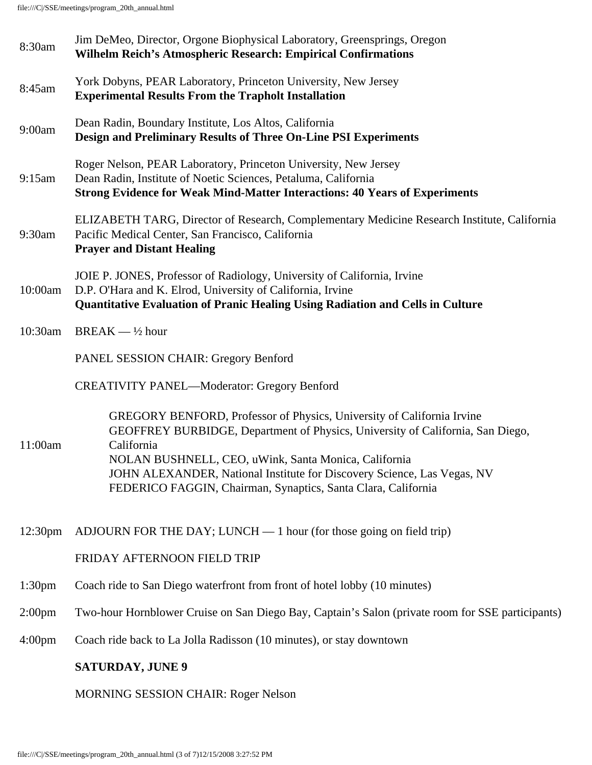file:///C|/SSE/meetings/program\_20th\_annual.html

| 8:30am             | Jim DeMeo, Director, Orgone Biophysical Laboratory, Greensprings, Oregon<br><b>Wilhelm Reich's Atmospheric Research: Empirical Confirmations</b>                                                                                                                                                                                                                           |
|--------------------|----------------------------------------------------------------------------------------------------------------------------------------------------------------------------------------------------------------------------------------------------------------------------------------------------------------------------------------------------------------------------|
| 8:45am             | York Dobyns, PEAR Laboratory, Princeton University, New Jersey<br><b>Experimental Results From the Trapholt Installation</b>                                                                                                                                                                                                                                               |
| 9:00am             | Dean Radin, Boundary Institute, Los Altos, California<br>Design and Preliminary Results of Three On-Line PSI Experiments                                                                                                                                                                                                                                                   |
| 9:15am             | Roger Nelson, PEAR Laboratory, Princeton University, New Jersey<br>Dean Radin, Institute of Noetic Sciences, Petaluma, California<br><b>Strong Evidence for Weak Mind-Matter Interactions: 40 Years of Experiments</b>                                                                                                                                                     |
| 9:30am             | ELIZABETH TARG, Director of Research, Complementary Medicine Research Institute, California<br>Pacific Medical Center, San Francisco, California<br><b>Prayer and Distant Healing</b>                                                                                                                                                                                      |
| 10:00am            | JOIE P. JONES, Professor of Radiology, University of California, Irvine<br>D.P. O'Hara and K. Elrod, University of California, Irvine<br>Quantitative Evaluation of Pranic Healing Using Radiation and Cells in Culture                                                                                                                                                    |
| 10:30am            | $BREAK - \frac{1}{2} hour$                                                                                                                                                                                                                                                                                                                                                 |
|                    | <b>PANEL SESSION CHAIR: Gregory Benford</b>                                                                                                                                                                                                                                                                                                                                |
|                    | <b>CREATIVITY PANEL—Moderator: Gregory Benford</b>                                                                                                                                                                                                                                                                                                                         |
| 11:00am            | GREGORY BENFORD, Professor of Physics, University of California Irvine<br>GEOFFREY BURBIDGE, Department of Physics, University of California, San Diego,<br>California<br>NOLAN BUSHNELL, CEO, uWink, Santa Monica, California<br>JOHN ALEXANDER, National Institute for Discovery Science, Las Vegas, NV<br>FEDERICO FAGGIN, Chairman, Synaptics, Santa Clara, California |
| 12:30pm            | ADJOURN FOR THE DAY; LUNCH $-1$ hour (for those going on field trip)                                                                                                                                                                                                                                                                                                       |
|                    | FRIDAY AFTERNOON FIELD TRIP                                                                                                                                                                                                                                                                                                                                                |
| 1:30 <sub>pm</sub> | Coach ride to San Diego waterfront from front of hotel lobby (10 minutes)                                                                                                                                                                                                                                                                                                  |
| 2:00 <sub>pm</sub> | Two-hour Hornblower Cruise on San Diego Bay, Captain's Salon (private room for SSE participants)                                                                                                                                                                                                                                                                           |
| $4:00 \text{pm}$   | Coach ride back to La Jolla Radisson (10 minutes), or stay downtown                                                                                                                                                                                                                                                                                                        |
|                    | <b>SATURDAY, JUNE 9</b>                                                                                                                                                                                                                                                                                                                                                    |
|                    | <b>MORNING SESSION CHAIR: Roger Nelson</b>                                                                                                                                                                                                                                                                                                                                 |
|                    |                                                                                                                                                                                                                                                                                                                                                                            |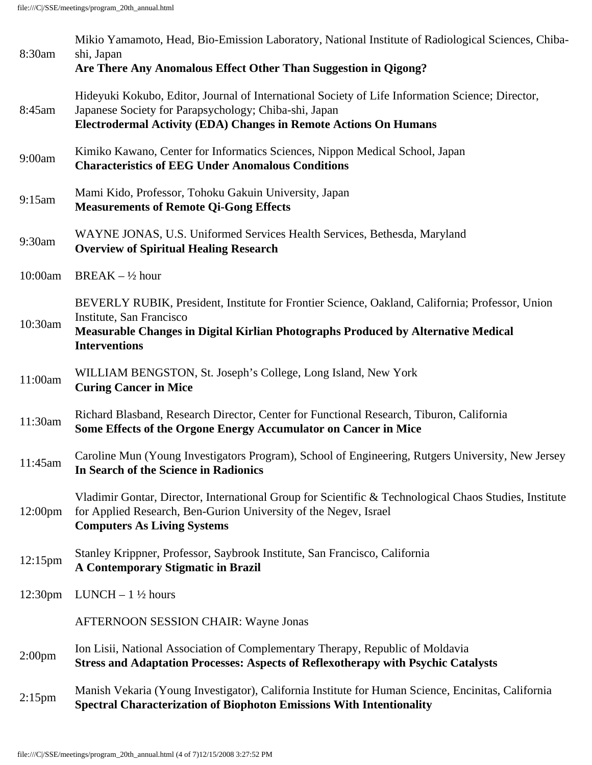| 8:30am              | Mikio Yamamoto, Head, Bio-Emission Laboratory, National Institute of Radiological Sciences, Chiba-<br>shi, Japan<br>Are There Any Anomalous Effect Other Than Suggestion in Qigong?                                                      |
|---------------------|------------------------------------------------------------------------------------------------------------------------------------------------------------------------------------------------------------------------------------------|
| 8:45am              | Hideyuki Kokubo, Editor, Journal of International Society of Life Information Science; Director,<br>Japanese Society for Parapsychology; Chiba-shi, Japan<br><b>Electrodermal Activity (EDA) Changes in Remote Actions On Humans</b>     |
| 9:00am              | Kimiko Kawano, Center for Informatics Sciences, Nippon Medical School, Japan<br><b>Characteristics of EEG Under Anomalous Conditions</b>                                                                                                 |
| 9:15am              | Mami Kido, Professor, Tohoku Gakuin University, Japan<br><b>Measurements of Remote Qi-Gong Effects</b>                                                                                                                                   |
| 9:30am              | WAYNE JONAS, U.S. Uniformed Services Health Services, Bethesda, Maryland<br><b>Overview of Spiritual Healing Research</b>                                                                                                                |
| 10:00am             | BREAK $-$ 1/2 hour                                                                                                                                                                                                                       |
| 10:30am             | BEVERLY RUBIK, President, Institute for Frontier Science, Oakland, California; Professor, Union<br>Institute, San Francisco<br>Measurable Changes in Digital Kirlian Photographs Produced by Alternative Medical<br><b>Interventions</b> |
| 11:00am             | WILLIAM BENGSTON, St. Joseph's College, Long Island, New York<br><b>Curing Cancer in Mice</b>                                                                                                                                            |
| 11:30am             | Richard Blasband, Research Director, Center for Functional Research, Tiburon, California<br>Some Effects of the Orgone Energy Accumulator on Cancer in Mice                                                                              |
| 11:45am             | Caroline Mun (Young Investigators Program), School of Engineering, Rutgers University, New Jersey<br>In Search of the Science in Radionics                                                                                               |
| 12:00 <sub>pm</sub> | Vladimir Gontar, Director, International Group for Scientific & Technological Chaos Studies, Institute<br>for Applied Research, Ben-Gurion University of the Negev, Israel<br><b>Computers As Living Systems</b>                         |
| $12:15 \text{pm}$   | Stanley Krippner, Professor, Saybrook Institute, San Francisco, California<br>A Contemporary Stigmatic in Brazil                                                                                                                         |
| 12:30 <sub>pm</sub> | LUNCH $-1\frac{1}{2}$ hours                                                                                                                                                                                                              |
|                     | AFTERNOON SESSION CHAIR: Wayne Jonas                                                                                                                                                                                                     |
| 2:00 <sub>pm</sub>  | Ion Lisii, National Association of Complementary Therapy, Republic of Moldavia<br><b>Stress and Adaptation Processes: Aspects of Reflexotherapy with Psychic Catalysts</b>                                                               |
| $2:15$ pm           | Manish Vekaria (Young Investigator), California Institute for Human Science, Encinitas, California<br><b>Spectral Characterization of Biophoton Emissions With Intentionality</b>                                                        |
|                     |                                                                                                                                                                                                                                          |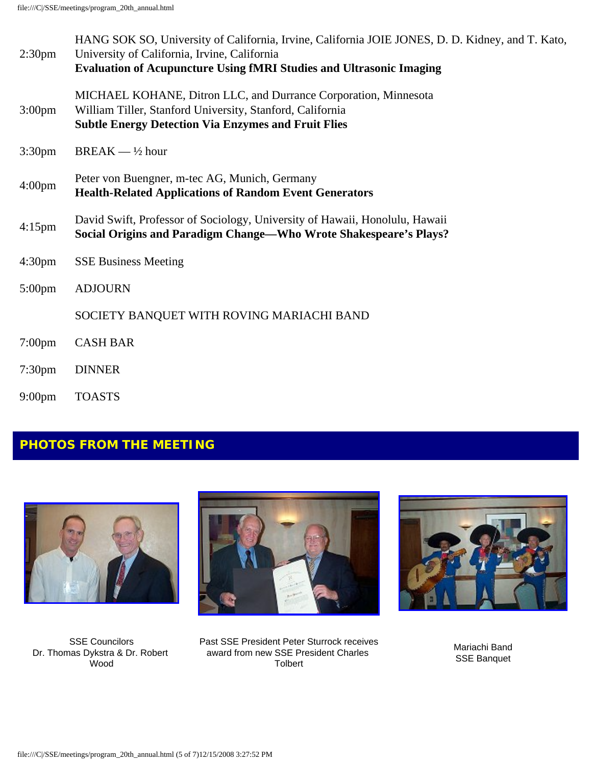| 2:30 <sub>pm</sub> | HANG SOK SO, University of California, Irvine, California JOIE JONES, D. D. Kidney, and T. Kato,<br>University of California, Irvine, California<br><b>Evaluation of Acupuncture Using fMRI Studies and Ultrasonic Imaging</b> |
|--------------------|--------------------------------------------------------------------------------------------------------------------------------------------------------------------------------------------------------------------------------|
| $3:00 \text{pm}$   | MICHAEL KOHANE, Ditron LLC, and Durrance Corporation, Minnesota<br>William Tiller, Stanford University, Stanford, California<br><b>Subtle Energy Detection Via Enzymes and Fruit Flies</b>                                     |
| 3:30 <sub>pm</sub> | $BREAK - \frac{1}{2} hour$                                                                                                                                                                                                     |
| 4:00 <sub>pm</sub> | Peter von Buengner, m-tec AG, Munich, Germany<br><b>Health-Related Applications of Random Event Generators</b>                                                                                                                 |
| $4:15$ pm          | David Swift, Professor of Sociology, University of Hawaii, Honolulu, Hawaii<br>Social Origins and Paradigm Change—Who Wrote Shakespeare's Plays?                                                                               |
| 4:30 <sub>pm</sub> | <b>SSE Business Meeting</b>                                                                                                                                                                                                    |
| $5:00 \text{pm}$   | <b>ADJOURN</b>                                                                                                                                                                                                                 |
|                    | SOCIETY BANQUET WITH ROVING MARIACHI BAND                                                                                                                                                                                      |
| $7:00 \text{pm}$   | <b>CASH BAR</b>                                                                                                                                                                                                                |
| 7:30 <sub>pm</sub> | <b>DINNER</b>                                                                                                                                                                                                                  |
|                    |                                                                                                                                                                                                                                |

9:00pm TOASTS

# **PHOTOS FROM THE MEETING**



SSE Councilors Dr. Thomas Dykstra & Dr. Robert Wood



Past SSE President Peter Sturrock receives award from new SSE President Charles Tolbert



Mariachi Band SSE Banquet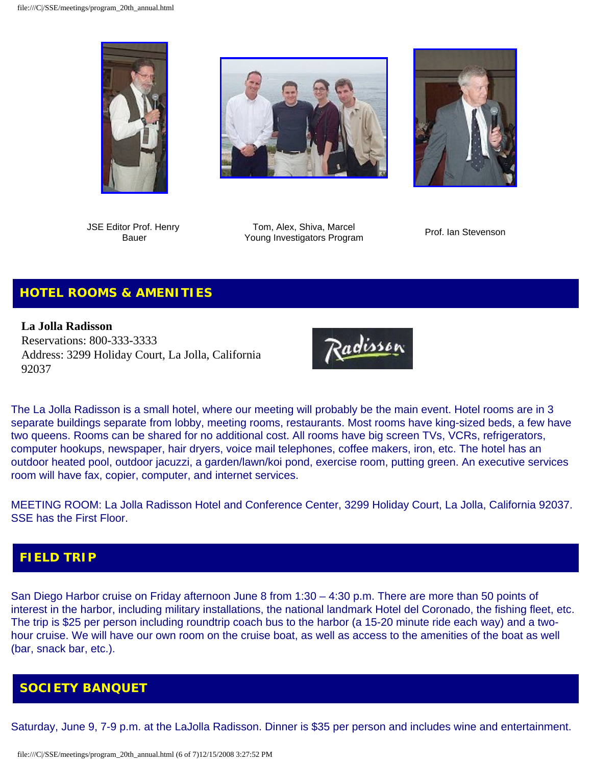





JSE Editor Prof. Henry Bauer

Tom, Alex, Shiva, Marcel Young Investigators Program Prof. Ian Stevenson

# **HOTEL ROOMS & AMENITIES**

**La Jolla Radisson** Reservations: 800-333-3333 Address: 3299 Holiday Court, La Jolla, California 92037



The La Jolla Radisson is a small hotel, where our meeting will probably be the main event. Hotel rooms are in 3 separate buildings separate from lobby, meeting rooms, restaurants. Most rooms have king-sized beds, a few have two queens. Rooms can be shared for no additional cost. All rooms have big screen TVs, VCRs, refrigerators, computer hookups, newspaper, hair dryers, voice mail telephones, coffee makers, iron, etc. The hotel has an outdoor heated pool, outdoor jacuzzi, a garden/lawn/koi pond, exercise room, putting green. An executive services room will have fax, copier, computer, and internet services.

MEETING ROOM: La Jolla Radisson Hotel and Conference Center, 3299 Holiday Court, La Jolla, California 92037. SSE has the First Floor.

## **FIELD TRIP**

San Diego Harbor cruise on Friday afternoon June 8 from 1:30 – 4:30 p.m. There are more than 50 points of interest in the harbor, including military installations, the national landmark Hotel del Coronado, the fishing fleet, etc. The trip is \$25 per person including roundtrip coach bus to the harbor (a 15-20 minute ride each way) and a twohour cruise. We will have our own room on the cruise boat, as well as access to the amenities of the boat as well (bar, snack bar, etc.).

## **SOCIETY BANQUET**

Saturday, June 9, 7-9 p.m. at the LaJolla Radisson. Dinner is \$35 per person and includes wine and entertainment.